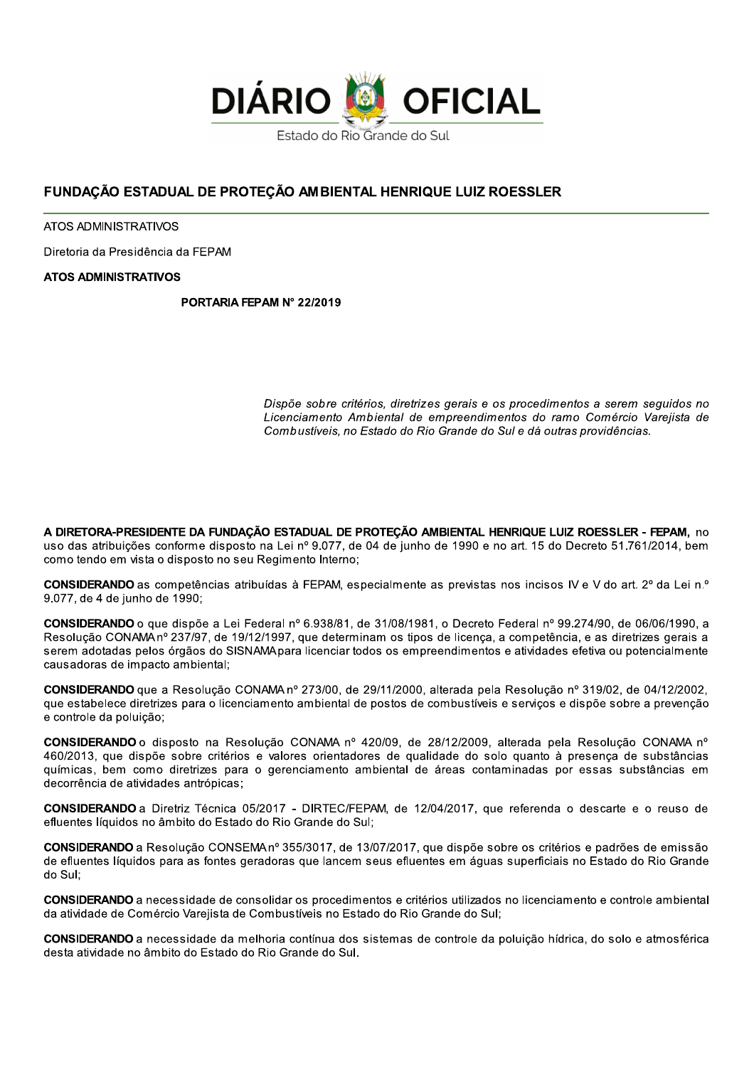

# FUNDACÃO ESTADUAL DE PROTEÇÃO AMBIENTAL HENRIQUE LUIZ ROESSLER

ATOS ADMINISTRATIVOS

Diretoria da Presidência da FEPAM

#### **ATOS ADMINISTRATIVOS**

PORTARIA FEPAM Nº 22/2019

Dispõe sobre critérios, diretrizes gerais e os procedimentos a serem seguidos no Licenciamento Ambiental de empreendimentos do ramo Comércio Vareiista de Combustíveis, no Estado do Rio Grande do Sul e dá outras providências.

A DIRETORA-PRESIDENTE DA FUNDAÇÃO ESTADUAL DE PROTEÇÃO AMBIENTAL HENRIQUE LUIZ ROESSLER - FEPAM, no uso das atribuições conforme disposto na Lei nº 9.077, de 04 de junho de 1990 e no art. 15 do Decreto 51.761/2014, bem como tendo em vista o disposto no seu Regimento Interno;

**CONSIDERANDO** as competências atribuídas à FEPAM, especialmente as previstas nos incisos IV e V do art. 2<sup>°</sup> da Lei n.º 9.077, de 4 de junho de 1990;

CONSIDERANDO o que dispõe a Lei Federal nº 6.938/81, de 31/08/1981, o Decreto Federal nº 99.274/90, de 06/06/1990, a Resolução CONAMA nº 237/97, de 19/12/1997, que determinam os tipos de licença, a competência, e as diretrizes gerais a serem adotadas pelos órgãos do SISNAMA para licenciar todos os empreendimentos e atividades efetiva ou potencialmente causadoras de impacto ambiental:

CONSIDERANDO que a Resolução CONAMA nº 273/00, de 29/11/2000, alterada pela Resolução nº 319/02, de 04/12/2002, que estabelece diretrizes para o licenciamento ambiental de postos de combustíveis e serviços e dispõe sobre a prevenção e controle da poluição;

CONSIDERANDO o disposto na Resolução CONAMA nº 420/09, de 28/12/2009, alterada pela Resolução CONAMA nº 460/2013, que dispõe sobre critérios e valores orientadores de qualidade do solo quanto à presença de substâncias químicas, bem como diretrizes para o gerenciamento ambiental de áreas contaminadas por essas substâncias em decorrência de atividades antrópicas:

CONSIDERANDO a Diretriz Técnica 05/2017 - DIRTEC/FEPAM, de 12/04/2017, que referenda o descarte e o reuso de efluentes líquidos no âmbito do Estado do Rio Grande do Sul;

CONSIDERANDO a Resolução CONSEMA nº 355/3017, de 13/07/2017, que dispõe sobre os critérios e padrões de emissão de efluentes líquidos para as fontes geradoras que lancem seus efluentes em águas superficiais no Estado do Rio Grande do Sul:

CONSIDERANDO a necessidade de consolidar os procedimentos e critérios utilizados no licenciamento e controle ambiental da atividade de Comércio Varejista de Combustíveis no Estado do Rio Grande do Sul;

CONSIDERANDO a necessidade da melhoria contínua dos sistemas de controle da poluição hídrica, do solo e atmosférica desta atividade no âmbito do Estado do Rio Grande do Sul.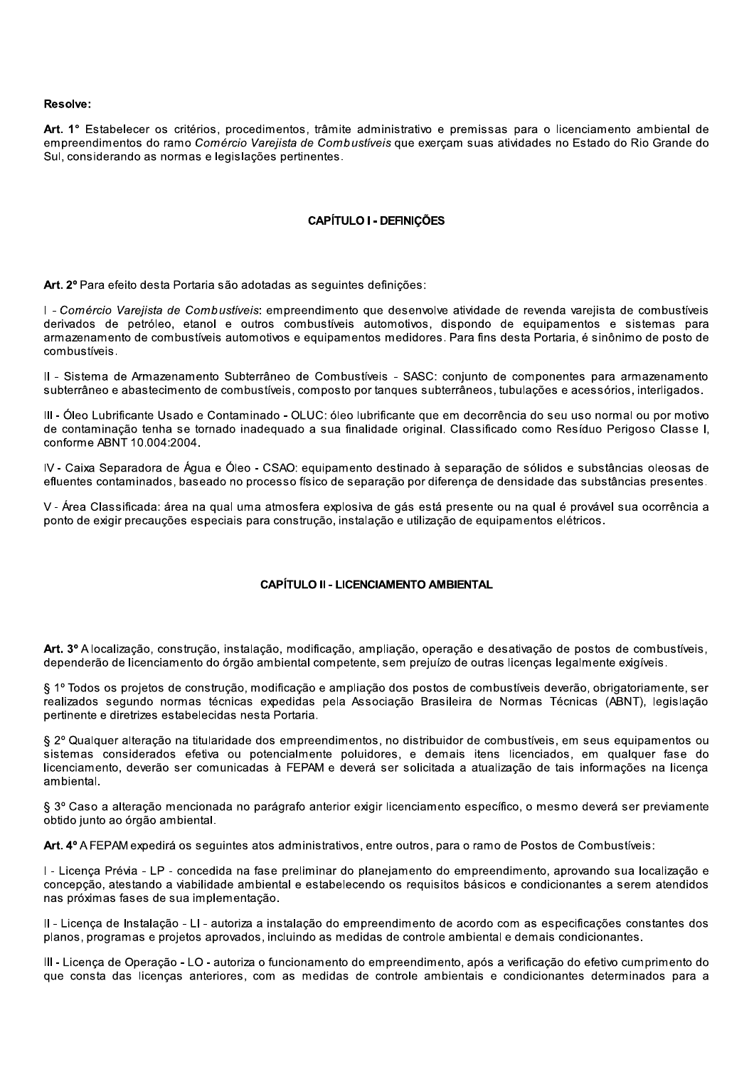#### Resolve:

Art. 1° Estabelecer os critérios, procedimentos, trâmite administrativo e premissas para o licenciamento ambiental de empreendimentos do ramo Comércio Varejista de Combustíveis que exerçam suas atividades no Estado do Rio Grande do Sul, considerando as normas e legislações pertinentes.

#### **CAPÍTULO I - DEFINICÕES**

Art. 2º Para efeito desta Portaria são adotadas as seguintes definições:

I - Comércio Varejista de Combustíveis: empreendimento que desenvolve atividade de revenda varejista de combustíveis derivados de petróleo, etanol e outros combustíveis automotivos, dispondo de equipamentos e sistemas para armazenamento de combustíveis automotivos e equipamentos medidores. Para fins desta Portaria, é sinônimo de posto de combustíveis.

Il - Sistema de Armazenamento Subterrâneo de Combustíveis - SASC: conjunto de componentes para armazenamento subterrâneo e abastecimento de combustíveis, composto por tanques subterrâneos, tubulações e acessórios, interligados.

III - Óleo Lubrificante Usado e Contaminado - OLUC: óleo lubrificante que em decorrência do seu uso normal ou por motivo de contaminação tenha se tornado inadequado a sua finalidade original. Classificado como Resíduo Perigoso Classe I, conforme ABNT 10.004:2004.

IV - Caixa Separadora de Água e Óleo - CSAO: equipamento destinado à separação de sólidos e substâncias oleosas de efluentes contaminados, baseado no processo físico de separação por diferença de densidade das substâncias presentes.

V - Área Classificada: área na qual uma atmosfera explosiva de gás está presente ou na qual é provável sua ocorrência a ponto de exigir precauções especiais para construção, instalação e utilização de equipamentos elétricos.

#### **CAPÍTULO II - LICENCIAMENTO AMBIENTAL**

Art. 3º A localização, construção, instalação, modificação, ampliação, operação e desativação de postos de combustíveis, dependerão de licenciamento do órgão ambiental competente, sem prejuízo de outras licencas legalmente exigíveis.

§ 1º Todos os proietos de construção, modificação e ampliação dos postos de combustíveis deverão, obrigatoriamente, ser realizados segundo normas técnicas expedidas pela Associação Brasileira de Normas Técnicas (ABNT), legislação pertinente e diretrizes estabelecidas nesta Portaria.

§ 2º Qualquer alteração na titularidade dos empreendimentos, no distribuidor de combustíveis, em seus equipamentos ou sistemas considerados efetiva ou potencialmente poluidores, e demais itens licenciados, em qualquer fase do licenciamento, deverão ser comunicadas à FEPAM e deverá ser solicitada a atualização de tais informações na licença ambiental.

§ 3º Caso a alteração mencionada no parágrafo anterior exigir licenciamento específico, o mesmo deverá ser previamente obtido junto ao órgão ambiental.

Art. 4° A FEPAM expedirá os sequintes atos administrativos, entre outros, para o ramo de Postos de Combustíveis:

I - Licença Prévia - LP - concedida na fase preliminar do planejamento do empreendimento, aprovando sua localização e concepção, atestando a viabilidade ambiental e estabelecendo os requisitos básicos e condicionantes a serem atendidos nas próximas fases de sua implementação.

II - Licenca de Instalação - LI - autoriza a instalação do empreendimento de acordo com as especificações constantes dos planos, programas e projetos aprovados, incluindo as medidas de controle ambiental e demais condicionantes.

III - Licença de Operação - LO - autoriza o funcionamento do empreendimento, após a verificação do efetivo cumprimento do que consta das licenças anteriores, com as medidas de controle ambientais e condicionantes determinados para a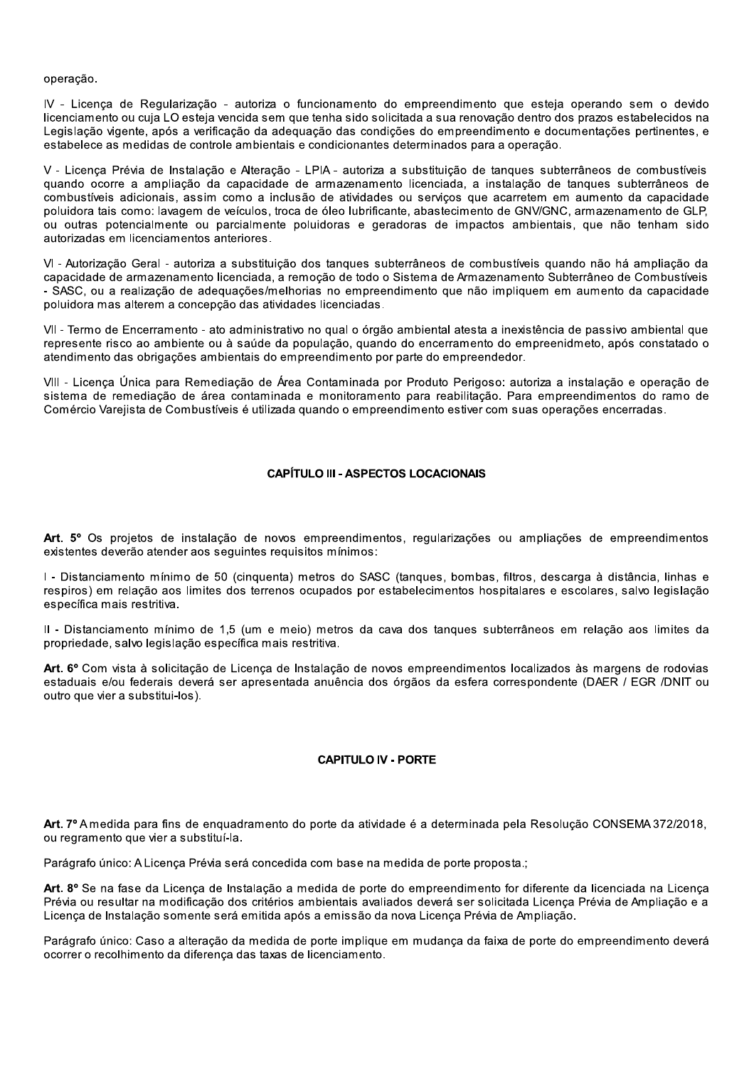#### operação.

IV - Licença de Regularização - autoriza o funcionamento do empreendimento que esteja operando sem o devido licenciamento ou cuja LO esteja vencida sem que tenha sido solicitada a sua renovação dentro dos prazos estabelecidos na Legislação vigente, após a verificação da adequação das condições do empreendimento e documentações pertinentes, e estabelece as medidas de controle ambientais e condicionantes determinados para a operação.

V - Licença Prévia de Instalação e Alteração - LPIA - autoriza a substituição de tangues subterrâneos de combustíveis quando ocorre a ampliação da capacidade de armazenamento licenciada, a instalação de tanques subterrâneos de combustíveis adicionais, assim como a inclusão de atividades ou servicos que acarretem em aumento da capacidade poluidora tais como: lavagem de veículos, troca de óleo lubrificante, abastecimento de GNV/GNC, armazenamento de GLP, ou outras potencialmente ou parcialmente poluidoras e geradoras de impactos ambientais, que não tenham sido autorizadas em licenciamentos anteriores.

VI - Autorização Geral - autoriza a substituição dos tangues subterrâneos de combustíveis quando não há ampliação da capacidade de armazenamento licenciada, a remoção de todo o Sistema de Armazenamento Subterrâneo de Combustíveis - SASC, ou a realização de adequações/melhorias no empreendimento que não impliquem em aumento da capacidade poluidora mas alterem a concepção das atividades licenciadas.

VII - Termo de Encerramento - ato administrativo no qual o órgão ambiental atesta a inexistência de passivo ambiental que represente risco ao ambiente ou à saúde da população, quando do encerramento do empreenidmeto, após constatado o atendimento das obrigações ambientais do empreendimento por parte do empreendedor.

VIII - Licença Única para Remediação de Área Contaminada por Produto Perigoso: autoriza a instalação e operação de sistema de remediação de área contaminada e monitoramento para reabilitação. Para empreendimentos do ramo de Comércio Varejista de Combustíveis é utilizada quando o empreendimento estiver com suas operações encerradas.

#### **CAPÍTULO III - ASPECTOS LOCACIONAIS**

Art. 5° Os projetos de instalação de novos empreendimentos, regularizações ou ampliações de empreendimentos existentes deverão atender aos seguintes requisitos mínimos:

I - Distanciamento mínimo de 50 (cinguenta) metros do SASC (tangues, bombas, filtros, descarga à distância, linhas e respiros) em relação aos limites dos terrenos ocupados por estabelecimentos hospitalares e escolares, salvo legislação específica mais restritiva.

Il - Distanciamento mínimo de 1,5 (um e meio) metros da cava dos tanques subterrâneos em relação aos limites da propriedade, salvo legislação específica mais restritiva.

Art. 6º Com vista à solicitação de Licença de Instalação de novos empreendimentos localizados às margens de rodovias estaduais e/ou federais deverá ser apresentada anuência dos órgãos da esfera correspondente (DAER / EGR /DNIT ou outro que vier a substitui-los).

### **CAPITULO IV - PORTE**

Art. 7º A medida para fins de enquadramento do porte da atividade é a determinada pela Resolução CONSEMA 372/2018, ou regramento que vier a substituí-la.

Parágrafo único: A Licença Prévia será concedida com base na medida de porte proposta.;

Art. 8º Se na fase da Licença de Instalação a medida de porte do empreendimento for diferente da licenciada na Licença Prévia ou resultar na modificação dos critérios ambientais avaliados deverá ser solicitada Licença Prévia de Ampliação e a Licença de Instalação somente será emitida após a emissão da nova Licença Prévia de Ampliação.

Parágrafo único: Caso a alteração da medida de porte implique em mudança da faixa de porte do empreendimento deverá ocorrer o recolhimento da diferença das taxas de licenciamento.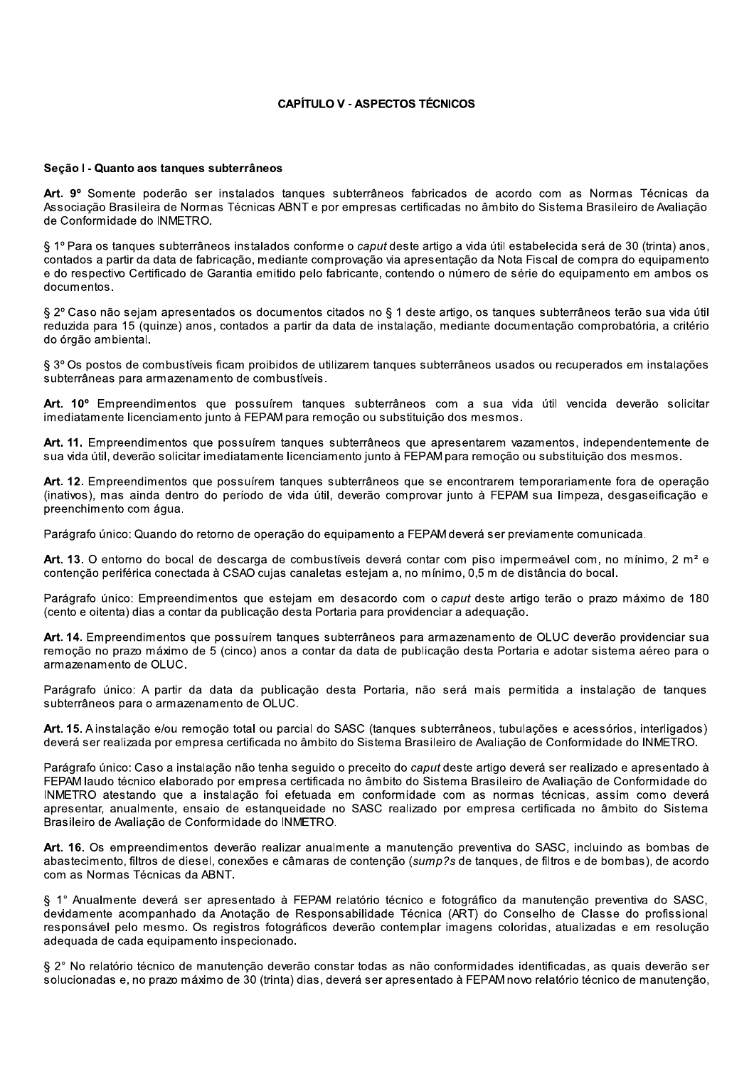#### **CAPÍTULO V - ASPECTOS TÉCNICOS**

#### Secão I - Quanto aos tangues subterrâneos

Art. 9º Somente poderão ser instalados tangues subterrâneos fabricados de acordo com as Normas Técnicas da Associação Brasileira de Normas Técnicas ABNT e por empresas certificadas no âmbito do Sistema Brasileiro de Avaliação de Conformidade do INMETRO.

§ 1º Para os tangues subterrâneos instalados conforme o caput deste artigo a vida útil estabelecida será de 30 (trinta) anos. contados a partir da data de fabricação, mediante comprovação via apresentação da Nota Fiscal de compra do equipamento e do respectivo Certificado de Garantia emitido pelo fabricante, contendo o número de série do equipamento em ambos os documentos.

§ 2º Caso não sejam apresentados os documentos citados no § 1 deste artigo, os tanques subterrâneos terão sua vida útil reduzida para 15 (quinze) anos, contados a partir da data de instalação, mediante documentação comprobatória, a critério do órgão ambiental.

§ 3º Os postos de combustíveis ficam proibidos de utilizarem tanques subterrâneos usados ou recuperados em instalações subterrâneas para armazenamento de combustíveis.

Art. 10° Empreendimentos que possuírem tanques subterrâneos com a sua vida útil vencida deverão solicitar imediatamente licenciamento junto à FEPAM para remoção ou substituição dos mesmos.

Art. 11. Empreendimentos que possuírem tangues subterrâneos que apresentarem vazamentos, independentemente de sua vida útil, deverão solicitar imediatamente licenciamento junto à FEPAM para remoção ou substituição dos mesmos.

Art. 12. Empreendimentos que possuírem tangues subterrâneos que se encontrarem temporariamente fora de operação (inativos), mas ainda dentro do período de vida útil, deverão comprovar junto à FEPAM sua limpeza, desgaseificação e preenchimento com áqua.

Parágrafo único: Quando do retorno de operação do equipamento a FEPAM deverá ser previamente comunicada.

Art. 13. O entorno do bocal de descarga de combustíveis deverá contar com piso impermeável com, no mínimo, 2 m<sup>2</sup> e contenção periférica conectada à CSAO cujas canaletas estejam a, no mínimo, 0,5 m de distância do bocal.

Parágrafo único: Empreendimentos que estejam em desacordo com o caput deste artigo terão o prazo máximo de 180 (cento e oitenta) dias a contar da publicação desta Portaria para providenciar a adequação.

Art. 14. Empreendimentos que possuírem tanques subterrâneos para armazenamento de OLUC deverão providenciar sua remoção no prazo máximo de 5 (cinco) anos a contar da data de publicação desta Portaria e adotar sistema aéreo para o armazenamento de OLUC.

Parágrafo único: A partir da data da publicação desta Portaria, não será mais permitida a instalação de tangues subterrâneos para o armazenamento de OLUC.

Art. 15. Ainstalação e/ou remoção total ou parcial do SASC (tangues subterrâneos, tubulações e acessórios, interligados) deverá ser realizada por empresa certificada no âmbito do Sistema Brasileiro de Avaliação de Conformidade do INMETRO.

Parágrafo único: Caso a instalação não tenha seguido o preceito do caput deste artigo deverá ser realizado e apresentado à FEPAM laudo técnico elaborado por empresa certificada no âmbito do Sistema Brasileiro de Avaliação de Conformidade do INMETRO atestando que a instalação foi efetuada em conformidade com as normas técnicas, assim como deverá apresentar, anualmente, ensaio de estanqueidade no SASC realizado por empresa certificada no âmbito do Sistema Brasileiro de Avaliação de Conformidade do INMETRO.

Art. 16. Os empreendimentos deverão realizar anualmente a manutenção preventiva do SASC, incluindo as bombas de abastecimento, filtros de diesel, conexões e câmaras de contenção (sump?s de tanques, de filtros e de bombas), de acordo com as Normas Técnicas da ABNT.

§ 1° Anualmente deverá ser apresentado à FEPAM relatório técnico e fotográfico da manutenção preventiva do SASC. devidamente acompanhado da Anotação de Responsabilidade Técnica (ART) do Conselho de Classe do profissional responsável pelo mesmo. Os registros fotográficos deverão contemplar imagens coloridas, atualizadas e em resolução adequada de cada equipamento inspecionado.

§ 2° No relatório técnico de manutenção deverão constar todas as não conformidades identificadas, as quais deverão ser solucionadas e, no prazo máximo de 30 (trinta) dias, deverá ser apresentado à FEPAM novo relatório técnico de manutenção,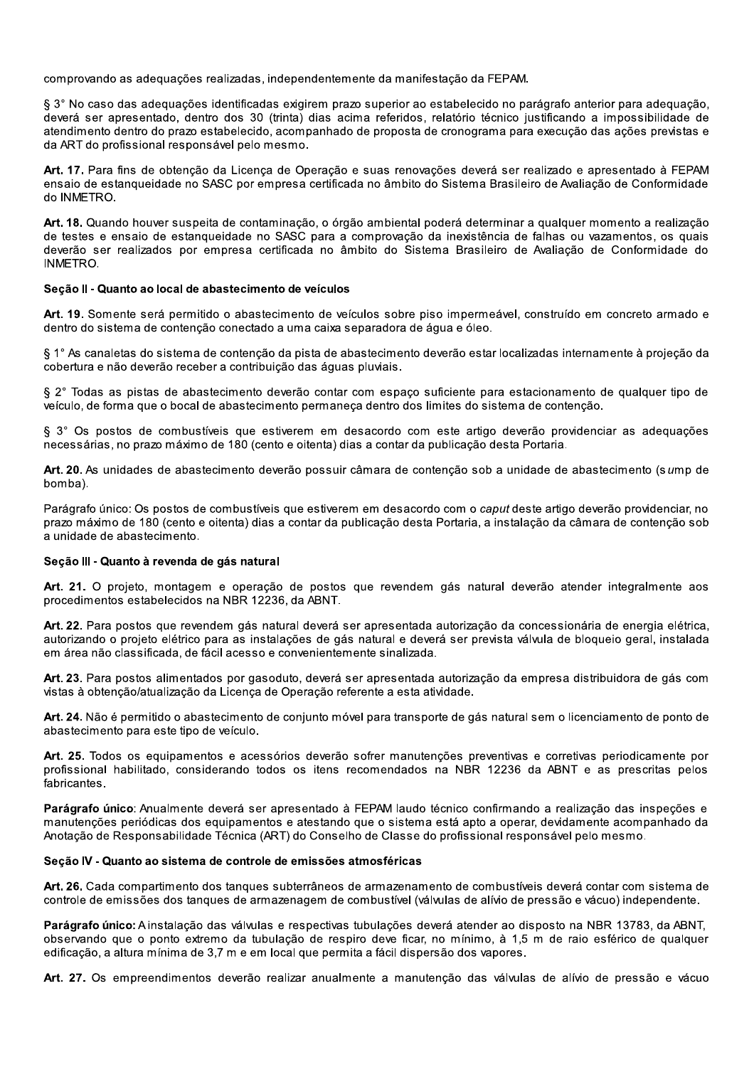comprovando as adequações realizadas, independentemente da manifestação da FEPAM.

§ 3° No caso das adequações identificadas exigirem prazo superior ao estabelecido no parágrafo anterior para adequação, deverá ser apresentado, dentro dos 30 (trinta) dias acima referidos, relatório técnico justificando a impossibilidade de atendimento dentro do prazo estabelecido, acompanhado de proposta de cronograma para execução das ações previstas e da ART do profissional responsável pelo mesmo.

Art. 17. Para fins de obtenção da Licença de Operação e suas renovações deverá ser realizado e apresentado à FEPAM ensaio de estanqueidade no SASC por empresa certificada no âmbito do Sistema Brasileiro de Avaliação de Conformidade do INMETRO.

Art. 18. Quando houver suspeita de contaminação, o órgão ambiental poderá determinar a qualquer momento a realização de testes e ensaio de estanqueidade no SASC para a comprovação da inexistência de falhas ou vazamentos, os quais deverão ser realizados por empresa certificada no âmbito do Sistema Brasileiro de Avaliação de Conformidade do **INMETRO.** 

#### Seção II - Quanto ao local de abastecimento de veículos

Art. 19. Somente será permitido o abastecimento de veículos sobre piso impermeável, construído em concreto armado e dentro do sistema de contenção conectado a uma caixa separadora de água e óleo.

§ 1° As canaletas do sistema de contenção da pista de abastecimento deverão estar localizadas internamente à projeção da cobertura e não deverão receber a contribuição das áquas pluviais.

§ 2° Todas as pistas de abastecimento deverão contar com espaço suficiente para estacionamento de qualquer tipo de veículo, de forma que o bocal de abastecimento permaneca dentro dos limites do sistema de contenção.

§ 3° Os postos de combustíveis que estiverem em desacordo com este artigo deverão providenciar as adequações necessárias, no prazo máximo de 180 (cento e oitenta) dias a contar da publicação desta Portaria.

Art. 20. As unidades de abastecimento deverão possuir câmara de contenção sob a unidade de abastecimento (sump de bomba).

Parágrafo único: Os postos de combustíveis que estiverem em desacordo com o caput deste artigo deverão providenciar, no prazo máximo de 180 (cento e oitenta) dias a contar da publicação desta Portaria, a instalação da câmara de contenção sob a unidade de abastecimento.

#### Seção III - Quanto à revenda de gás natural

Art. 21. O projeto, montagem e operação de postos que revendem gás natural deverão atender integralmente aos procedimentos estabelecidos na NBR 12236, da ABNT.

Art. 22. Para postos que revendem gás natural deverá ser apresentada autorização da concessionária de energia elétrica, autorizando o projeto elétrico para as instalações de gás natural e deverá ser prevista válvula de bloqueio geral, instalada em área não classificada, de fácil acesso e convenientemente sinalizada.

Art. 23. Para postos alimentados por gasoduto, deverá ser apresentada autorização da empresa distribuidora de gás com vistas à obtenção/atualização da Licença de Operação referente a esta atividade.

Art. 24. Não é permitido o abastecimento de conjunto móvel para transporte de gás natural sem o licenciamento de ponto de abastecimento para este tipo de veículo.

Art. 25. Todos os equipamentos e acessórios deverão sofrer manutenções preventivas e corretivas periodicamente por profissional habilitado, considerando todos os itens recomendados na NBR 12236 da ABNT e as prescritas pelos fabricantes.

Parágrafo único: Anualmente deverá ser apresentado à FEPAM laudo técnico confirmando a realização das inspeções e manutenções periódicas dos equipamentos e atestando que o sistema está apto a operar, devidamente acompanhado da Anotação de Responsabilidade Técnica (ART) do Conselho de Classe do profissional responsável pelo mesmo.

#### Secão IV - Quanto ao sistema de controle de emissões atmosféricas

Art. 26. Cada compartimento dos tangues subterrâneos de armazenamento de combustíveis deverá contar com sistema de controle de emissões dos tangues de armazenagem de combustível (válvulas de alívio de pressão e vácuo) independente.

Parágrafo único: A instalação das válvulas e respectivas tubulações deverá atender ao disposto na NBR 13783, da ABNT. observando que o ponto extremo da tubulação de respiro deve ficar, no mínimo, à 1.5 m de raio esférico de qualquer edificação, a altura mínima de 3,7 m e em local que permita a fácil dispersão dos vapores.

Art. 27. Os empreendimentos deverão realizar anualmente a manutenção das válvulas de alívio de pressão e vácuo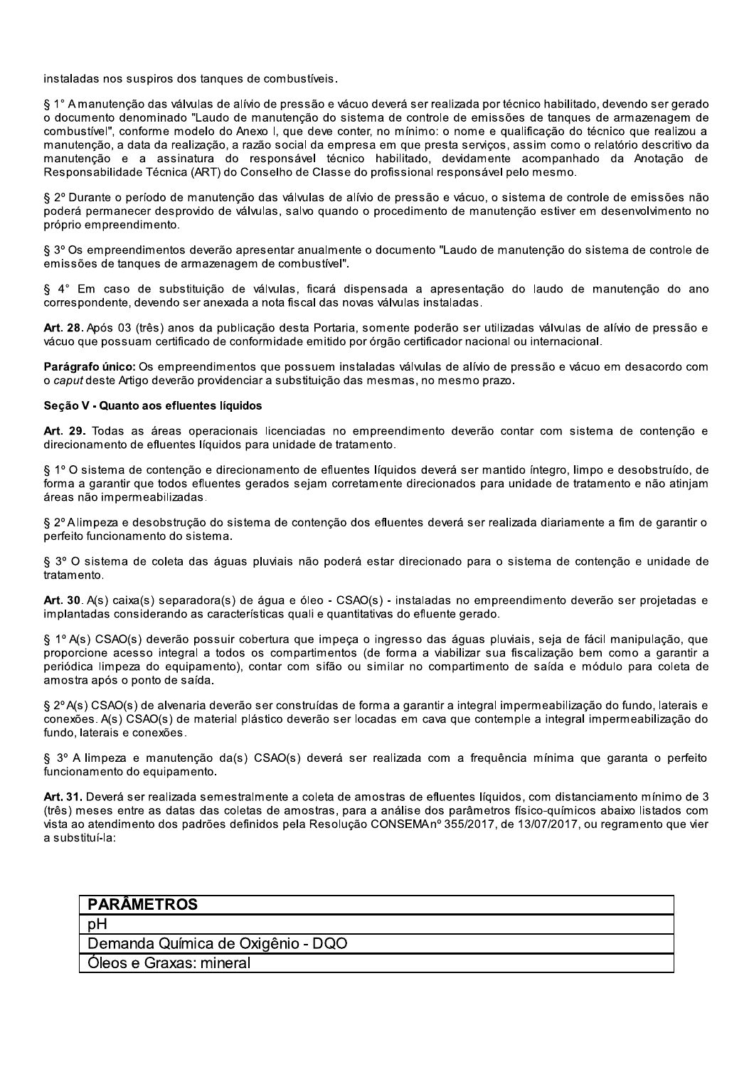instaladas nos suspiros dos tangues de combustíveis.

§ 1° A manutenção das válvulas de alívio de pressão e vácuo deverá ser realizada por técnico habilitado, devendo ser gerado o documento denominado "Laudo de manutenção do sistema de controle de emissões de tangues de armazenagem de combustível", conforme modelo do Anexo I, que deve conter, no mínimo: o nome e qualificação do técnico que realizou a manutenção, a data da realização, a razão social da empresa em que presta serviços, assim como o relatório descritivo da manutenção e a assinatura do responsável técnico habilitado, devidamente acompanhado da Anotação de Responsabilidade Técnica (ART) do Conselho de Classe do profissional responsável pelo mesmo.

§ 2º Durante o período de manutenção das válvulas de alívio de pressão e vácuo, o sistema de controle de emissões não poderá permanecer desprovido de válvulas, salvo quando o procedimento de manutenção estiver em desenvolvimento no próprio empreendimento.

§ 3º Os empreendimentos deverão apresentar anualmente o documento "Laudo de manutenção do sistema de controle de emissões de tanques de armazenagem de combustível".

§ 4° Em caso de substituicão de válvulas, ficará dispensada a apresentação do laudo de manutenção do ano correspondente, devendo ser anexada a nota fiscal das novas válvulas instaladas.

Art. 28. Após 03 (três) anos da publicação desta Portaria, somente poderão ser utilizadas válvulas de alívio de pressão e vácuo que possuam certificado de conformidade emitido por órgão certificador nacional ou internacional.

Parágrafo único: Os empreendimentos que possuem instaladas válvulas de alívio de pressão e vácuo em desacordo com o caput deste Artigo deverão providenciar a substituição das mesmas, no mesmo prazo.

#### Seção V - Quanto aos efluentes líquidos

Art. 29. Todas as áreas operacionais licenciadas no empreendimento deverão contar com sistema de contenção e direcionamento de efluentes líquidos para unidade de tratamento.

§ 1º O sistema de contenção e direcionamento de efluentes líquidos deverá ser mantido íntegro, limpo e desobstruído, de forma a garantir que todos efluentes gerados sejam corretamente direcionados para unidade de tratamento e não atinjam áreas não impermeabilizadas.

§ 2º Alimpeza e desobstrução do sistema de contenção dos efluentes deverá ser realizada diariamente a fim de garantir o perfeito funcionamento do sistema.

§ 3º O sistema de coleta das águas pluviais não poderá estar direcionado para o sistema de contenção e unidade de tratamento.

Art. 30. A(s) caixa(s) separadora(s) de água e óleo - CSAO(s) - instaladas no empreendimento deverão ser projetadas e implantadas considerando as características quali e quantitativas do efluente gerado.

§ 1º A(s) CSAO(s) deverão possuir cobertura que impeca o ingresso das águas pluviais, seja de fácil manipulação, que proporcione acesso integral a todos os compartimentos (de forma a viabilizar sua fiscalização bem como a garantir a periódica limpeza do equipamento), contar com sifão ou similar no compartimento de saída e módulo para coleta de amostra após o ponto de saída.

§ 2º A(s) CSAO(s) de alvenaria deverão ser construídas de forma a garantir a integral impermeabilização do fundo, laterais e conexões. A(s) CSAO(s) de material plástico deverão ser locadas em cava que contemple a integral impermeabilização do fundo, laterais e conexões.

§ 3º A limpeza e manutenção da(s) CSAO(s) deverá ser realizada com a freguência mínima que garanta o perfeito funcionamento do equipamento.

Art. 31. Deverá ser realizada semestralmente a coleta de amostras de efluentes líquidos, com distanciamento mínimo de 3 (três) meses entre as datas das coletas de amostras, para a análise dos parâmetros físico-químicos abaixo listados com vista ao atendimento dos padrões definidos pela Resolução CONSEMAnº 355/2017, de 13/07/2017, ou regramento que vier a substituí-la:

| <b>PARÂMETROS</b>                 |
|-----------------------------------|
|                                   |
| Demanda Química de Oxigênio - DQO |
| Oleos e Graxas: mineral           |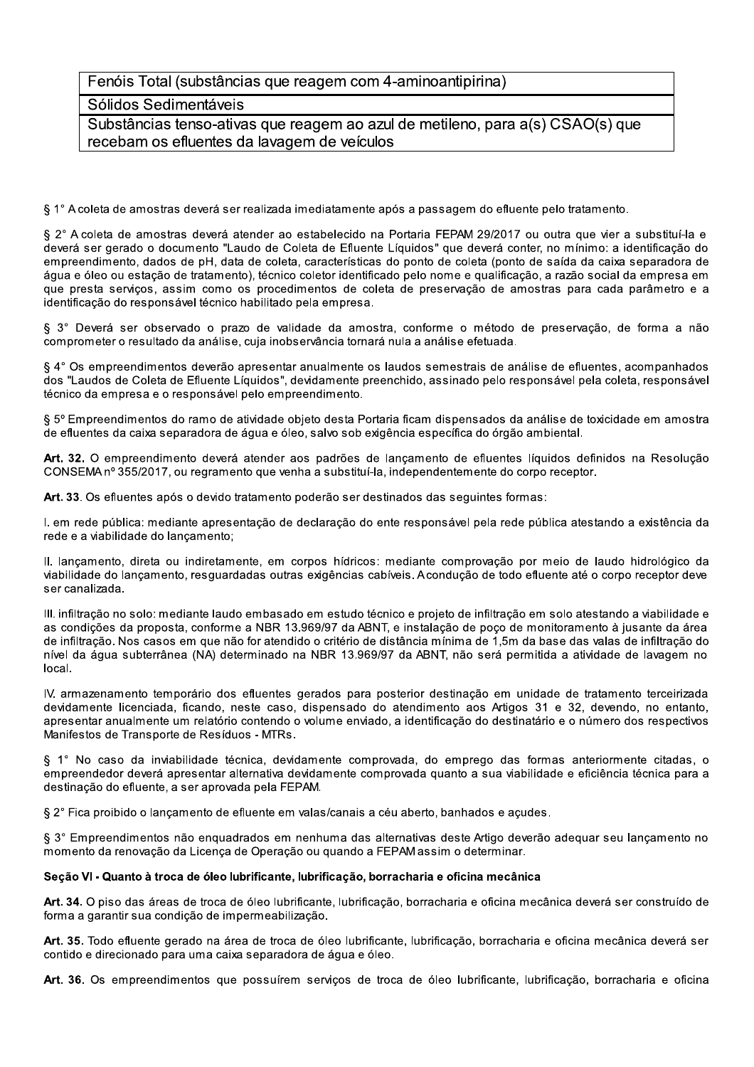## Fenóis Total (substâncias que reagem com 4-aminoantipirina)

## Sólidos Sedimentáveis

Substâncias tenso-ativas que reagem ao azul de metileno, para a(s) CSAO(s) que recebam os efluentes da lavagem de veículos

§ 1° A coleta de amostras deverá ser realizada imediatamente após a passagem do efluente pelo tratamento.

§ 2° A coleta de amostras deverá atender ao estabelecido na Portaria FEPAM 29/2017 ou outra que vier a substituí-la e deverá ser gerado o documento "Laudo de Coleta de Efluente Líquidos" que deverá conter, no mínimo: a identificação do empreendimento, dados de pH, data de coleta, características do ponto de coleta (ponto de saída da caixa separadora de áqua e óleo ou estação de tratamento), técnico coletor identificado pelo nome e qualificação, a razão social da empresa em que presta servicos, assim como os procedimentos de coleta de preservação de amostras para cada parâmetro e a identificação do responsável técnico habilitado pela empresa.

§ 3° Deverá ser observado o prazo de validade da amostra, conforme o método de preservação, de forma a não comprometer o resultado da análise, cuia inobservância tornará nula a análise efetuada.

§ 4° Os empreendimentos deverão apresentar anualmente os laudos semestrais de análise de efluentes, acompanhados dos "Laudos de Coleta de Efluente Líquidos", devidamente preenchido, assinado pelo responsável pela coleta, responsável técnico da empresa e o responsável pelo empreendimento.

§ 5º Empreendimentos do ramo de atividade objeto desta Portaria ficam dispensados da análise de toxicidade em amostra de efluentes da caixa separadora de água e óleo, salvo sob exigência específica do órgão ambiental.

Art. 32. O empreendimento deverá atender aos padrões de lançamento de efluentes líquidos definidos na Resolução CONSEMA nº 355/2017, ou regramento que venha a substituí-la, independentemente do corpo receptor.

Art. 33. Os efluentes após o devido tratamento poderão ser destinados das sequintes formas:

I. em rede pública: mediante apresentação de declaração do ente responsável pela rede pública atestando a existência da rede e a viabilidade do lancamento:

II. lançamento, direta ou indiretamente, em corpos hídricos: mediante comprovação por meio de laudo hidrológico da viabilidade do lançamento, resguardadas outras exigências cabíveis. Acondução de todo efluente até o corpo receptor deve ser canalizada.

III. infiltração no solo: mediante laudo embasado em estudo técnico e projeto de infiltração em solo atestando a viabilidade e as condições da proposta, conforme a NBR 13.969/97 da ABNT, e instalação de poço de monitoramento à jusante da área de infiltração. Nos casos em que não for atendido o critério de distância mínima de 1,5m da base das valas de infiltração do nível da água subterrânea (NA) determinado na NBR 13.969/97 da ABNT, não será permitida a atividade de lavagem no local.

IV. armazenamento temporário dos efluentes gerados para posterior destinação em unidade de tratamento terceirizada devidamente licenciada, ficando, neste caso, dispensado do atendimento aos Artigos 31 e 32, devendo, no entanto, apresentar anualmente um relatório contendo o volume enviado, a identificação do destinatário e o número dos respectivos Manifestos de Transporte de Resíduos - MTRs.

§ 1° No caso da inviabilidade técnica, devidamente comprovada, do emprego das formas anteriormente citadas, o empreendedor deverá apresentar alternativa devidamente comprovada quanto a sua viabilidade e eficiência técnica para a destinação do efluente, a ser aprovada pela FEPAM.

§ 2° Fica proibido o lancamento de efluente em valas/canais a céu aberto, banhados e acudes.

§ 3° Empreendimentos não enquadrados em nenhuma das alternativas deste Artigo deverão adequar seu lançamento no momento da renovação da Licença de Operação ou quando a FEPAM assim o determinar.

#### Seção VI - Quanto à troca de óleo lubrificante, lubrificação, borracharia e oficina mecânica

Art. 34. O piso das áreas de troca de óleo lubrificante, lubrificação, borracharia e oficina mecânica deverá ser construído de forma a garantir sua condição de impermeabilização.

Art. 35. Todo efluente gerado na área de troca de óleo lubrificante, lubrificação, borracharia e oficina mecânica deverá ser contido e direcionado para uma caixa separadora de água e óleo.

Art. 36. Os empreendimentos que possuírem serviços de troca de óleo lubrificante, lubrificação, borracharia e oficina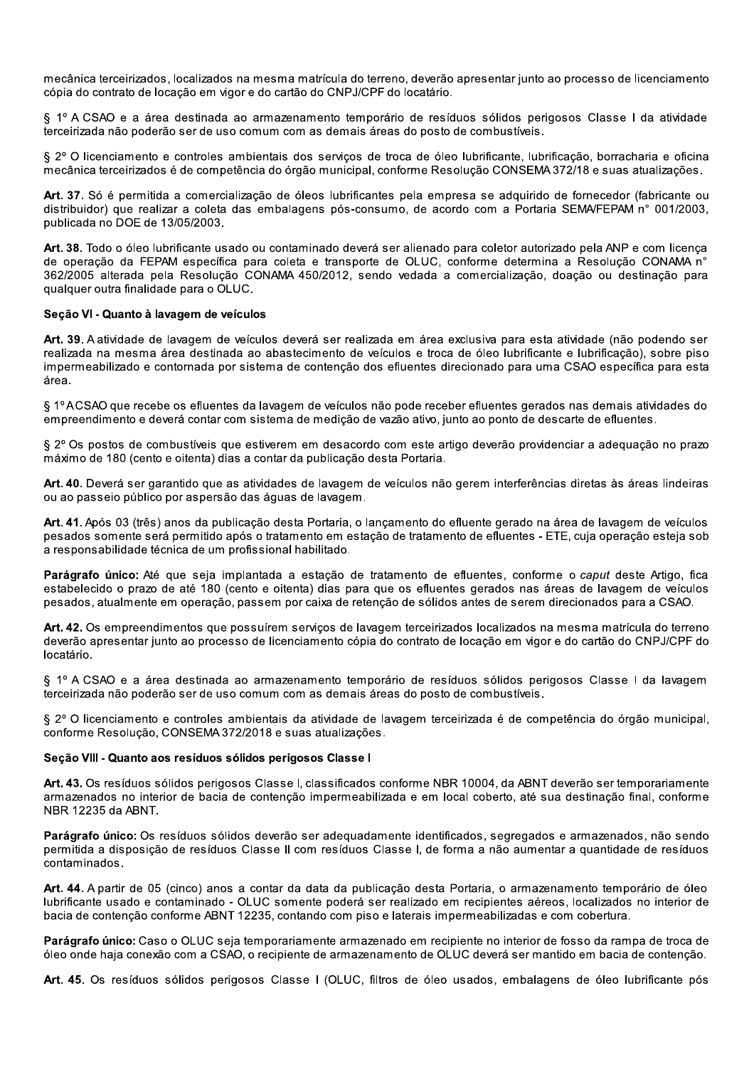mecânica terceirizados, localizados na mesma matrícula do terreno, deverão apresentar iunto ao processo de licenciamento cópia do contrato de locação em vigor e do cartão do CNPJ/CPF do locatário.

§ 1º A CSAO e a área destinada ao armazenamento temporário de resíduos sólidos perigosos Classe I da atividade terceirizada não poderão ser de uso comum com as demais áreas do posto de combustíveis.

§ 2º O licenciamento e controles ambientais dos servicos de troca de óleo lubrificante, lubrificação, borracharia e oficina mecânica terceirizados é de competência do órgão municipal, conforme Resolução CONSEMA 372/18 e suas atualizações.

Art. 37. Só é permitida a comercialização de óleos lubrificantes pela empresa se adquirido de fornecedor (fabricante ou distribuidor) que realizar a coleta das embalagens pós-consumo, de acordo com a Portaria SEMA/FEPAM n° 001/2003, publicada no DOE de 13/05/2003.

Art. 38. Todo o óleo lubrificante usado ou contaminado deverá ser alienado para coletor autorizado pela ANP e com licença de operação da FEPAM específica para coleta e transporte de OLUC, conforme determina a Resolução CONAMA nº 362/2005 alterada pela Resolução CONAMA 450/2012, sendo vedada a comercialização, doação ou destinação para qualquer outra finalidade para o OLUC.

#### Seção VI - Quanto à lavagem de veículos

Art. 39. A atividade de lavagem de veículos deverá ser realizada em área exclusiva para esta atividade (não podendo ser realizada na mesma área destinada ao abastecimento de veículos e troca de óleo lubrificante e lubrificação), sobre piso impermeabilizado e contornada por sistema de contenção dos efluentes direcionado para uma CSAO específica para esta área.

§ 1ºACSAO que recebe os efluentes da lavagem de veículos não pode receber efluentes gerados nas demais atividades do empreendimento e deverá contar com sistema de medição de vazão ativo, junto ao ponto de descarte de efluentes.

§ 2º Os postos de combustíveis que estiverem em desacordo com este artigo deverão providenciar a adeguação no prazo máximo de 180 (cento e oitenta) dias a contar da publicação desta Portaria.

Art. 40. Deverá ser garantido que as atividades de lavagem de veículos não gerem interferências diretas às áreas lindeiras ou ao passeio público por aspersão das águas de lavagem.

Art. 41. Após 03 (três) anos da publicação desta Portaria, o lançamento do efluente gerado na área de lavagem de veículos pesados somente será permitido após o tratamento em estação de tratamento de efluentes - ETE, cuja operação esteja sob a responsabilidade técnica de um profissional habilitado.

Parágrafo único: Até que seja implantada a estação de tratamento de efluentes, conforme o caput deste Artigo, fica estabelecido o prazo de até 180 (cento e oitenta) dias para que os efluentes gerados nas áreas de lavagem de veículos pesados, atualmente em operação, passem por caixa de retenção de sólidos antes de serem direcionados para a CSAO.

Art. 42. Os empreendimentos que possuírem serviços de lavagem terceirizados localizados na mesma matrícula do terreno deverão apresentar junto ao processo de licenciamento cópia do contrato de locação em vigor e do cartão do CNPJ/CPF do locatário.

§ 1º A CSAO e a área destinada ao armazenamento temporário de resíduos sólidos perigosos Classe I da lavagem terceirizada não poderão ser de uso comum com as demais áreas do posto de combustíveis.

§ 2º O licenciamento e controles ambientais da atividade de lavagem terceirizada é de competência do órgão municipal, conforme Resolução, CONSEMA 372/2018 e suas atualizações.

#### Secão VIII - Quanto aos resíduos sólidos perigosos Classe I

Art. 43. Os resíduos sólidos perigosos Classe I. classificados conforme NBR 10004, da ABNT deverão ser temporariamente armazenados no interior de bacia de contenção impermeabilizada e em local coberto, até sua destinação final, conforme NBR 12235 da ABNT.

Parágrafo único: Os resíduos sólidos deverão ser adequadamente identificados, segregados e armazenados, não sendo permitida a disposição de resíduos Classe II com resíduos Classe I, de forma a não aumentar a quantidade de resíduos contaminados.

Art. 44. A partir de 05 (cinco) anos a contar da data da publicação desta Portaria, o armazenamento temporário de óleo lubrificante usado e contaminado - OLUC somente poderá ser realizado em recipientes aéreos, localizados no interior de bacia de contenção conforme ABNT 12235, contando com piso e laterais impermeabilizadas e com cobertura.

Parágrafo único: Caso o OLUC seja temporariamente armazenado em recipiente no interior de fosso da rampa de troca de óleo onde haja conexão com a CSAO, o recipiente de armazenamento de OLUC deverá ser mantido em bacia de contenção.

Art. 45. Os resíduos sólidos perigosos Classe I (OLUC, filtros de óleo usados, embalagens de óleo lubrificante pós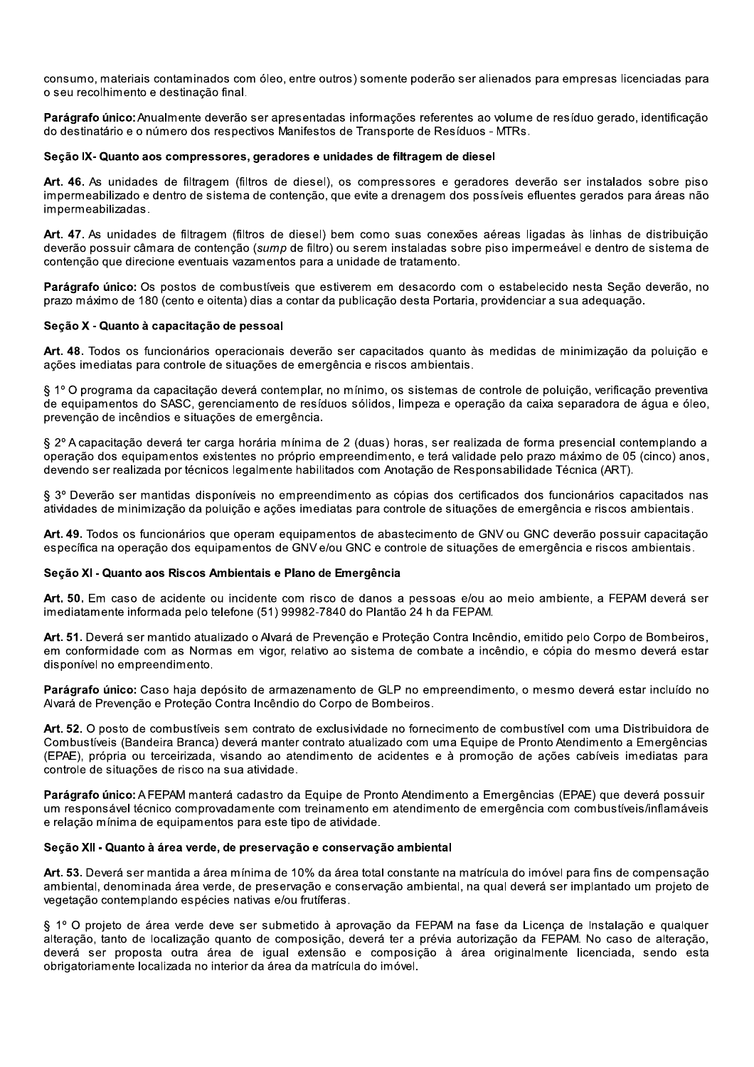consumo, materiais contaminados com óleo, entre outros) somente poderão ser alienados para empresas licenciadas para o seu recolhimento e destinação final.

Parágrafo único: Anualmente deverão ser apresentadas informações referentes ao volume de resíduo gerado, identificação do destinatário e o número dos respectivos Manifestos de Transporte de Resíduos - MTRs.

#### Seção IX- Quanto aos compressores, geradores e unidades de filtragem de diesel

Art. 46. As unidades de filtragem (filtros de diesel), os compressores e geradores deverão ser instalados sobre piso impermeabilizado e dentro de sistema de contenção, que evite a drenagem dos possíveis efluentes gerados para áreas não impermeabilizadas.

Art. 47. As unidades de filtragem (filtros de diesel) bem como suas conexões aéreas ligadas às linhas de distribuição deverão possuir câmara de contenção (sump de filtro) ou serem instaladas sobre piso impermeável e dentro de sistema de contenção que direcione eventuais vazamentos para a unidade de tratamento.

Parágrafo único: Os postos de combustíveis que estiverem em desacordo com o estabelecido nesta Secão deverão, no prazo máximo de 180 (cento e oitenta) dias a contar da publicação desta Portaria, providenciar a sua adequação,

#### Seção X - Quanto à capacitação de pessoal

Art. 48. Todos os funcionários operacionais deverão ser capacitados quanto às medidas de minimização da poluição e ações imediatas para controle de situações de emergência e riscos ambientais.

§ 1º O programa da capacitação deverá contemplar, no mínimo, os sistemas de controle de poluição, verificação preventiva de equipamentos do SASC, gerenciamento de resíduos sólidos, limpeza e operação da caixa separadora de água e óleo, prevenção de incêndios e situações de emergência.

§ 2º A capacitação deverá ter carga horária mínima de 2 (duas) horas, ser realizada de forma presencial contemplando a operação dos equipamentos existentes no próprio empreendimento, e terá validade pelo prazo máximo de 05 (cinco) anos. devendo ser realizada por técnicos legalmente habilitados com Anotação de Responsabilidade Técnica (ART).

§ 3° Deverão ser mantidas disponíveis no empreendimento as cópias dos certificados dos funcionários capacitados nas atividades de minimização da poluição e ações imediatas para controle de situações de emergência e riscos ambientais.

Art. 49. Todos os funcionários que operam equipamentos de abastecimento de GNV ou GNC deverão possuir capacitação específica na operação dos equipamentos de GNV e/ou GNC e controle de situações de emergência e riscos ambientais.

#### Seção XI - Quanto aos Riscos Ambientais e Plano de Emergência

Art. 50. Em caso de acidente ou incidente com risco de danos a pessoas e/ou ao meio ambiente, a FEPAM deverá ser imediatamente informada pelo telefone (51) 99982-7840 do Plantão 24 h da FEPAM.

Art. 51. Deverá ser mantido atualizado o Alvará de Prevenção e Proteção Contra Incêndio, emitido pelo Corpo de Bombeiros. em conformidade com as Normas em vigor, relativo ao sistema de combate a incêndio, e cópia do mesmo deverá estar disponível no empreendimento.

Parágrafo único: Caso haja depósito de armazenamento de GLP no empreendimento, o mesmo deverá estar incluído no Alvará de Prevenção e Proteção Contra Incêndio do Corpo de Bombeiros.

Art. 52. O posto de combustíveis sem contrato de exclusividade no fornecimento de combustível com uma Distribuidora de Combustíveis (Bandeira Branca) deverá manter contrato atualizado com uma Equipe de Pronto Atendimento a Emergências (EPAE), própria ou terceirizada, visando ao atendimento de acidentes e à promoção de ações cabíveis imediatas para controle de situações de risco na sua atividade.

Parágrafo único: A FEPAM manterá cadastro da Equipe de Pronto Atendimento a Emergências (EPAE) que deverá possuir um responsável técnico comprovadamente com treinamento em atendimento de emergência com combustíveis/inflamáveis e relação mínima de equipamentos para este tipo de atividade.

#### Seção XII - Quanto à área verde, de preservação e conservação ambiental

Art. 53. Deverá ser mantida a área mínima de 10% da área total constante na matrícula do imóvel para fins de compensação ambiental, denominada área verde, de preservação e conservação ambiental, na qual deverá ser implantado um projeto de vegetação contemplando espécies nativas e/ou frutíferas.

§ 1º O projeto de área verde deve ser submetido à aprovação da FEPAM na fase da Licença de Instalação e qualquer alteração, tanto de localização quanto de composição, deverá ter a prévia autorização da FEPAM. No caso de alteração, deverá ser proposta outra área de igual extensão e composição à área originalmente licenciada, sendo esta obrigatoriamente localizada no interior da área da matrícula do imóvel.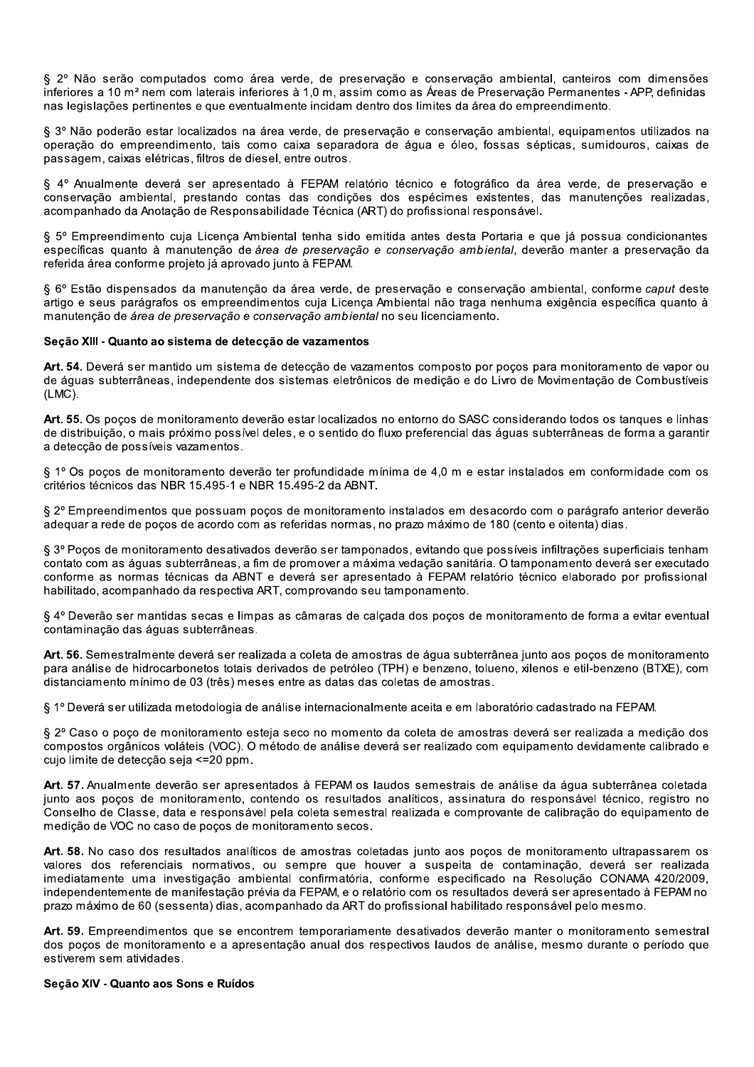§ 2º Não serão computados como área verde, de preservação e conservação ambiental, canteiros com dimensões inferiores a 10 m<sup>2</sup> nem com laterais inferiores à 1.0 m, assim como as Áreas de Preservação Permanentes - APP, definidas nas legislações pertinentes e que eventualmente incidam dentro dos limites da área do empreendimento.

§ 3º Não poderão estar localizados na área verde, de preservação e conservação ambiental, equipamentos utilizados na operação do empreendimento, tais como caixa separadora de água e óleo, fossas sépticas, sumidouros, caixas de passagem, caixas elétricas, filtros de diesel, entre outros.

§ 4º Anualmente deverá ser apresentado à FEPAM relatório técnico e fotográfico da área verde, de preservação e conservação ambiental, prestando contas das condições dos espécimes existentes, das manutenções realizadas, acompanhado da Anotação de Responsabilidade Técnica (ART) do profissional responsável.

§ 5º Empreendimento cuja Licenca Ambiental tenha sido emitida antes desta Portaria e que já possua condicionantes específicas quanto à manutenção de área de preservação e conservação ambiental, deverão manter a preservação da referida área conforme projeto já aprovado junto à FEPAM.

§ 6º Estão dispensados da manutenção da área verde, de preservação e conservação ambiental, conforme caput deste artigo e seus parágrafos os empreendimentos cuia Licenca Ambiental não traga nenhuma exigência específica quanto à manutenção de área de preservação e conservação ambiental no seu licenciamento.

#### Secão XIII - Quanto ao sistema de detecção de vazamentos

Art. 54. Deverá ser mantido um sistema de deteccão de vazamentos composto por pocos para monitoramento de vapor ou de águas subterrâneas, independente dos sistemas eletrônicos de medição e do Livro de Movimentação de Combustíveis  $(LMC)$ .

Art. 55. Os poços de monitoramento deverão estar localizados no entorno do SASC considerando todos os tanques e linhas de distribuição, o mais próximo possível deles, e o sentido do fluxo preferencial das águas subterrâneas de forma a garantir a detecção de possíveis vazamentos.

§ 1º Os poços de monitoramento deverão ter profundidade mínima de 4,0 m e estar instalados em conformidade com os critérios técnicos das NBR 15.495-1 e NBR 15.495-2 da ABNT.

§ 2º Empreendimentos que possuam poços de monitoramento instalados em desacordo com o parágrafo anterior deverão adequar a rede de poços de acordo com as referidas normas, no prazo máximo de 180 (cento e oitenta) dias.

§ 3º Poços de monitoramento desativados deverão ser tamponados, evitando que possíveis infiltrações superficiais tenham contato com as águas subterrâneas, a fim de promover a máxima vedação sanitária. O tamponamento deverá ser executado conforme as normas técnicas da ABNT e deverá ser apresentado à FEPAM relatório técnico elaborado por profissional habilitado, acompanhado da respectiva ART, comprovando seu tamponamento.

§ 4º Deverão ser mantidas secas e limpas as câmaras de calcada dos pocos de monitoramento de forma a evitar eventual contaminação das águas subterrâneas.

Art. 56. Semestralmente deverá ser realizada a coleta de amostras de áqua subterrânea junto aos pocos de monitoramento para análise de hidrocarbonetos totais derivados de petróleo (TPH) e benzeno, tolueno, xilenos e etil-benzeno (BTXE), com distanciamento mínimo de 03 (três) meses entre as datas das coletas de amostras.

§ 1º Deverá ser utilizada metodologia de análise internacionalmente aceita e em laboratório cadastrado na FEPAM.

§ 2º Caso o poço de monitoramento esteja seco no momento da coleta de amostras deverá ser realizada a medição dos compostos orgânicos voláteis (VOC). O método de análise deverá ser realizado com equipamento devidamente calibrado e cujo limite de detecção seja <= 20 ppm.

Art. 57. Anualmente deverão ser apresentados à FEPAM os laudos semestrais de análise da água subterrânea coletada junto aos pocos de monitoramento, contendo os resultados analíticos, assinatura do responsável técnico, registro no Conselho de Classe, data e responsável pela coleta semestral realizada e comprovante de calibração do equipamento de medição de VOC no caso de poços de monitoramento secos.

Art. 58. No caso dos resultados analíticos de amostras coletadas junto aos poços de monitoramento ultrapassarem os valores dos referenciais normativos, ou sempre que houver a suspeita de contaminação, deverá ser realizada imediatamente uma investigação ambiental confirmatória, conforme especificado na Resolução CONAMA 420/2009, independentemente de manifestação prévia da FEPAM, e o relatório com os resultados deverá ser apresentado à FEPAM no prazo máximo de 60 (sessenta) dias, acompanhado da ART do profissional habilitado responsável pelo mesmo.

Art. 59. Empreendimentos que se encontrem temporariamente desativados deverão manter o monitoramento semestral dos poços de monitoramento e a apresentação anual dos respectivos laudos de análise, mesmo durante o período que estiverem sem atividades.

#### Seção XIV - Quanto aos Sons e Ruídos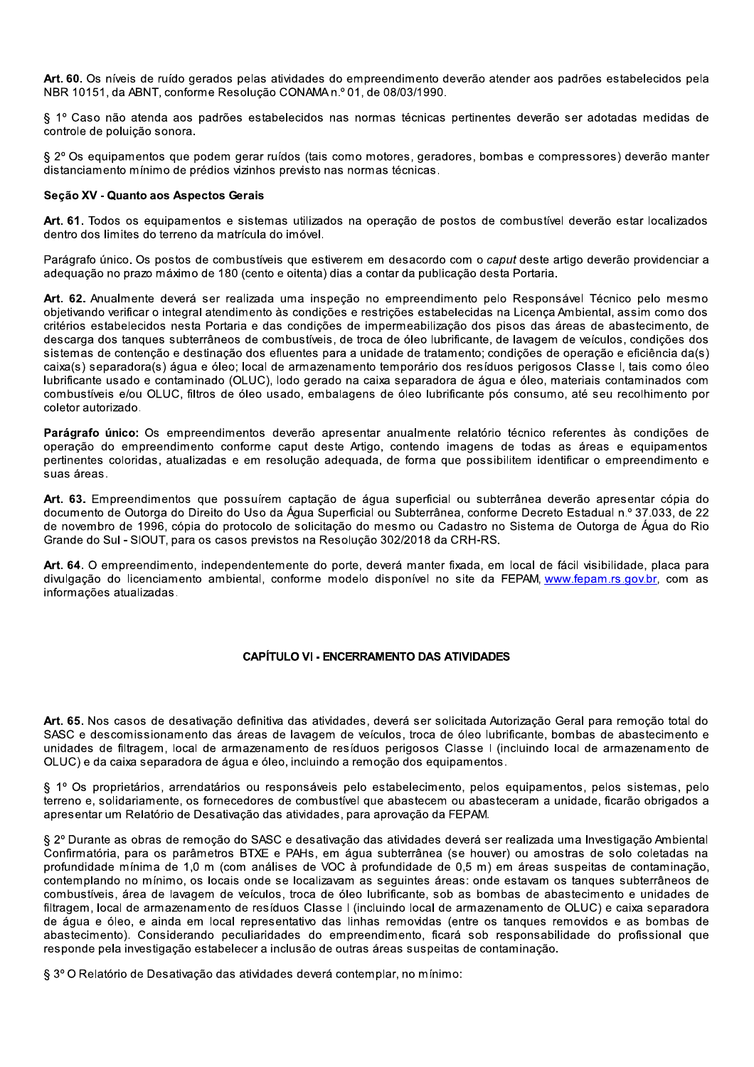Art. 60. Os níveis de ruído gerados pelas atividades do empreendimento deverão atender aos padrões estabelecidos pela NBR 10151, da ABNT, conforme Resolução CONAMA n.º 01, de 08/03/1990.

§ 1º Caso não atenda aos padrões estabelecidos nas normas técnicas pertinentes deverão ser adotadas medidas de controle de poluição sonora.

§ 2° Os equipamentos que podem gerar ruídos (tais como motores, geradores, bombas e compressores) deverão manter distanciamento mínimo de prédios vizinhos previsto nas normas técnicas.

#### Seção XV - Quanto aos Aspectos Gerais

Art. 61. Todos os equipamentos e sistemas utilizados na operação de postos de combustível deverão estar localizados dentro dos limites do terreno da matrícula do imóvel.

Parágrafo único. Os postos de combustíveis que estiverem em desacordo com o caput deste artigo deverão providenciar a adequação no prazo máximo de 180 (cento e oitenta) dias a contar da publicação desta Portaria.

Art. 62. Anualmente deverá ser realizada uma inspeção no empreendimento pelo Responsável Técnico pelo mesmo objetivando verificar o integral atendimento às condições e restrições estabelecidas na Licença Ambiental, assim como dos critérios estabelecidos nesta Portaria e das condições de impermeabilização dos pisos das áreas de abastecimento, de descarga dos tanques subterrâneos de combustíveis, de troca de óleo lubrificante, de lavagem de veículos, condições dos sistemas de contenção e destinação dos efluentes para a unidade de tratamento; condições de operação e eficiência da(s) caixa(s) separadora(s) áqua e óleo; local de armazenamento temporário dos resíduos perigosos Classe I, tais como óleo lubrificante usado e contaminado (OLUC), lodo gerado na caixa separadora de água e óleo, materiais contaminados com combustíveis e/ou OLUC, filtros de óleo usado, embalagens de óleo lubrificante pós consumo, até seu recolhimento por coletor autorizado.

Parágrafo único: Os empreendimentos deverão apresentar anualmente relatório técnico referentes às condições de operação do empreendimento conforme caput deste Artigo, contendo imagens de todas as áreas e equipamentos pertinentes coloridas, atualizadas e em resolução adequada, de forma que possibilitem identificar o empreendimento e suas áreas.

Art. 63. Empreendimentos que possuírem captação de água superficial ou subterrânea deverão apresentar cópia do documento de Outorga do Direito do Uso da Água Superficial ou Subterrânea, conforme Decreto Estadual n.º 37.033, de 22 de novembro de 1996, cópia do protocolo de solicitação do mesmo ou Cadastro no Sistema de Outorga de Água do Rio Grande do Sul - SIOUT, para os casos previstos na Resolução 302/2018 da CRH-RS.

Art. 64. O empreendimento, independentemente do porte, deverá manter fixada, em local de fácil visibilidade, placa para divulgação do licenciamento ambiental, conforme modelo disponível no site da FEPAM www.fepam.rs.gov.br. com as informações atualizadas.

#### **CAPÍTULO VI - ENCERRAMENTO DAS ATIVIDADES**

Art. 65. Nos casos de desativação definitiva das atividades, deverá ser solicitada Autorização Geral para remoção total do SASC e descomissionamento das áreas de lavagem de veículos, troca de óleo lubrificante, bombas de abastecimento e unidades de filtragem, local de armazenamento de resíduos perigosos Classe I (incluindo local de armazenamento de OLUC) e da caixa separadora de água e óleo, incluindo a remoção dos equipamentos.

§ 1º Os proprietários, arrendatários ou responsáveis pelo estabelecimento, pelos equipamentos, pelos sistemas, pelo terreno e, solidariamente, os fornecedores de combustível que abastecem ou abasteceram a unidade, ficarão obrigados a apresentar um Relatório de Desativação das atividades, para aprovação da FEPAM.

§ 2º Durante as obras de remoção do SASC e desativação das atividades deverá ser realizada uma Investigação Ambiental Confirmatória, para os parâmetros BTXE e PAHs, em água subterrânea (se houver) ou amostras de solo coletadas na profundidade mínima de 1,0 m (com análises de VOC à profundidade de 0,5 m) em áreas suspeitas de contaminação, contemplando no mínimo, os locais onde se localizavam as seguintes áreas: onde estavam os tanques subterrâneos de combustíveis, área de lavagem de veículos, troca de óleo lubrificante, sob as bombas de abastecimento e unidades de filtragem, local de armazenamento de resíduos Classe I (incluindo local de armazenamento de OLUC) e caixa separadora de água e óleo, e ainda em local representativo das linhas removidas (entre os tangues removidos e as bombas de abastecimento). Considerando peculiaridades do empreendimento, ficará sob responsabilidade do profissional que responde pela investigação estabelecer a inclusão de outras áreas suspeitas de contaminação.

§ 3º O Relatório de Desativação das atividades deverá contemplar, no mínimo: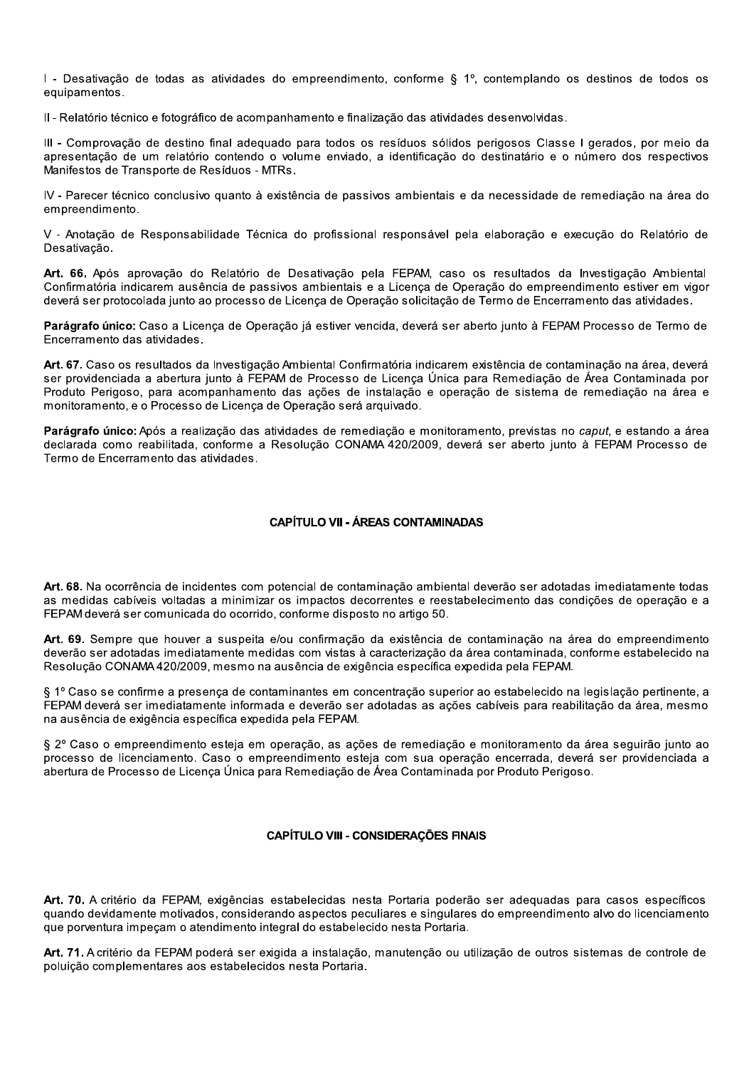I - Desativação de todas as atividades do empreendimento, conforme § 1º, contemplando os destinos de todos os equipamentos.

Il - Relatório técnico e fotográfico de acompanhamento e finalização das atividades desenvolvidas.

III - Comprovação de destino final adequado para todos os resíduos sólidos perigosos Classe I gerados, por meio da apresentação de um relatório contendo o volume enviado, a identificação do destinatário e o número dos respectivos Manifestos de Transporte de Resíduos - MTRs.

IV - Parecer técnico conclusivo quanto à existência de passivos ambientais e da necessidade de remediação na área do empreendimento.

V - Anotação de Responsabilidade Técnica do profissional responsável pela elaboração e execução do Relatório de Desativação.

Art. 66. Após aprovação do Relatório de Desativação pela FEPAM, caso os resultados da Investigação Ambiental Confirmatória indicarem ausência de passivos ambientais e a Licenca de Operação do empreendimento estiver em vigor deverá ser protocolada junto ao processo de Licença de Operação solicitação de Termo de Encerramento das atividades.

Parágrafo único: Caso a Licença de Operação já estiver vencida, deverá ser aberto junto à FEPAM Processo de Termo de Encerramento das atividades.

Art. 67. Caso os resultados da Investigação Ambiental Confirmatória indicarem existência de contaminação na área, deverá ser providenciada a abertura junto à FEPAM de Processo de Licença Única para Remediação de Área Contaminada por Produto Perigoso, para acompanhamento das ações de instalação e operação de sistema de remediação na área e monitoramento, e o Processo de Licença de Operação será arquivado.

Parágrafo único: Após a realização das atividades de remediação e monitoramento, previstas no caput, e estando a área declarada como reabilitada, conforme a Resolução CONAMA 420/2009, deverá ser aberto junto à FEPAM Processo de Termo de Encerramento das atividades.

#### **CAPÍTULO VII - ÁREAS CONTAMINADAS**

Art. 68. Na ocorrência de incidentes com potencial de contaminação ambiental deverão ser adotadas imediatamente todas as medidas cabíveis voltadas a minimizar os impactos decorrentes e reestabelecimento das condições de operação e a FEPAM deverá ser comunicada do ocorrido, conforme disposto no artigo 50.

Art. 69. Sempre que houver a suspeita e/ou confirmação da existência de contaminação na área do empreendimento deverão ser adotadas imediatamente medidas com vistas à caracterização da área contaminada, conforme estabelecido na Resolução CONAMA 420/2009, mesmo na ausência de exigência específica expedida pela FEPAM.

§ 1º Caso se confirme a presenca de contaminantes em concentração superior ao estabelecido na legislação pertinente, a FEPAM deverá ser imediatamente informada e deverão ser adotadas as ações cabíveis para reabilitação da área, mesmo na ausência de exigência específica expedida pela FEPAM.

§ 2º Caso o empreendimento esteja em operação, as ações de remediação e monitoramento da área seguirão junto ao processo de licenciamento. Caso o empreendimento esteja com sua operação encerrada, deverá ser providenciada a abertura de Processo de Licenca Única para Remediação de Área Contaminada por Produto Perigoso.

#### **CAPÍTULO VIII - CONSIDERAÇÕES FINAIS**

Art. 70. A critério da FEPAM, exigências estabelecidas nesta Portaria poderão ser adequadas para casos específicos quando devidamente motivados, considerando aspectos peculiares e singulares do empreendimento alvo do licenciamento que porventura impecam o atendimento integral do estabelecido nesta Portaria.

Art. 71. A critério da FEPAM poderá ser exigida a instalação, manutenção ou utilização de outros sistemas de controle de poluição complementares aos estabelecidos nesta Portaria.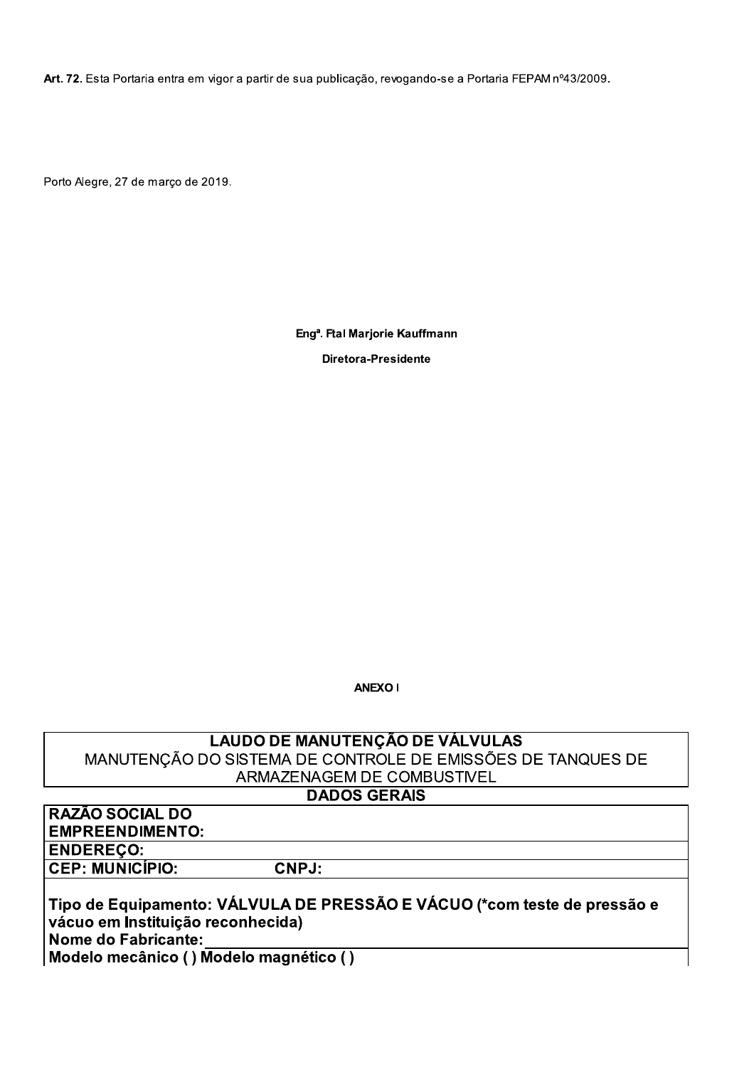Art. 72. Esta Portaria entra em vigor a partir de sua publicação, revogando-se a Portaria FEPAM nº43/2009.

Porto Alegre, 27 de março de 2019.

Eng<sup>a</sup>. Ftal Marjorie Kauffmann

**Diretora-Presidente** 

**ANEXO I** 

**LAUDO DE MANUTENÇÃO DE VÁLVULAS** MANUTENÇÃO DO SISTEMA DE CONTROLE DE EMISSÕES DE TANQUES DE ARMAZENAGEM DE COMBUSTIVEL

## **DADOS GERAIS**

RAZÃO SOCIAL DO **EMPREENDIMENTO: ENDEREÇO: CEP: MUNICÍPIO:** 

Tipo de Equipamento: VÁLVULA DE PRESSÃO E VÁCUO (\*com teste de pressão e vácuo em Instituição reconhecida) **Nome do Fabricante:** Modelo mecânico () Modelo magnético ()

CNPJ: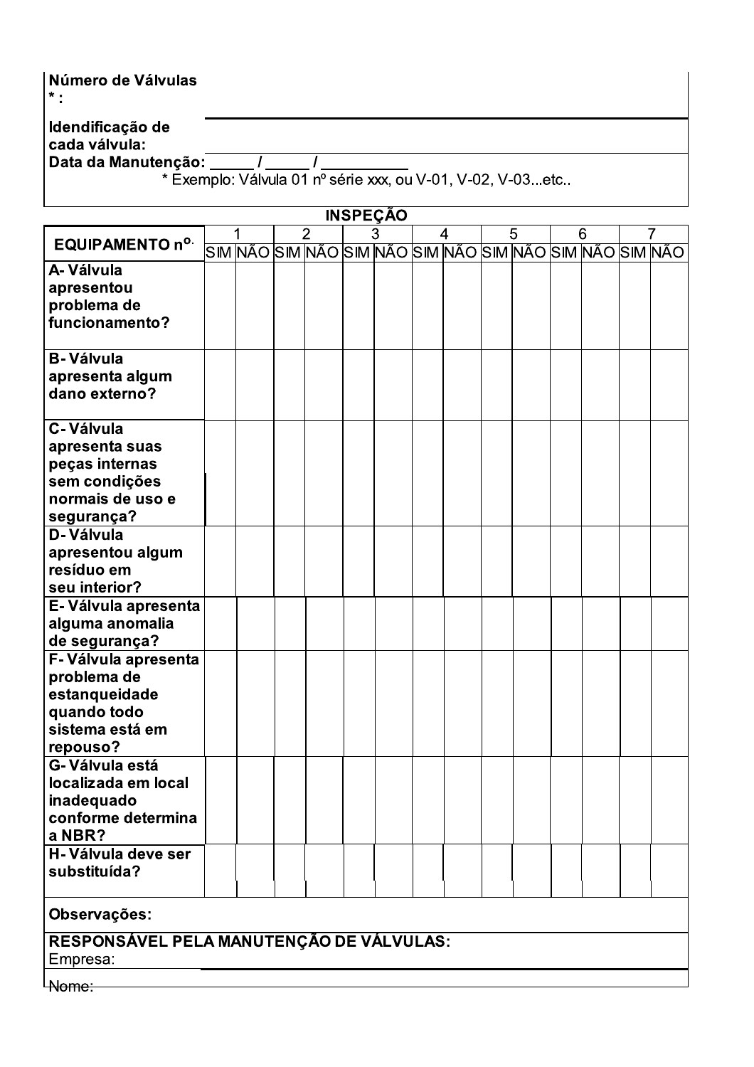| l Número de Válvulas<br>$\pmb{\times}$ . |                                                            |
|------------------------------------------|------------------------------------------------------------|
| Idendificação de<br>cada válvula:        |                                                            |
| Data da Manutenção:                      |                                                            |
|                                          | * Exemplo: Válvula 01 nº série xxx, ou V-01, V-02, V-03etc |
|                                          |                                                            |
|                                          | <b>INSPECAO</b>                                            |

| EQUIPAMENTO nº.                          |  |  | $\overline{2}$ |                                                         | $\overline{3}$ |  | 4 |  | 5 |  | 6 |  | 7 |  |
|------------------------------------------|--|--|----------------|---------------------------------------------------------|----------------|--|---|--|---|--|---|--|---|--|
|                                          |  |  |                | SIM NÃO SIM NÃO SIM NÃO SIM NÃO SIM NÃO SIM NÃO SIM NÃO |                |  |   |  |   |  |   |  |   |  |
| A-Válvula                                |  |  |                |                                                         |                |  |   |  |   |  |   |  |   |  |
| apresentou                               |  |  |                |                                                         |                |  |   |  |   |  |   |  |   |  |
| problema de                              |  |  |                |                                                         |                |  |   |  |   |  |   |  |   |  |
| funcionamento?                           |  |  |                |                                                         |                |  |   |  |   |  |   |  |   |  |
|                                          |  |  |                |                                                         |                |  |   |  |   |  |   |  |   |  |
| <b>B-Válvula</b>                         |  |  |                |                                                         |                |  |   |  |   |  |   |  |   |  |
|                                          |  |  |                |                                                         |                |  |   |  |   |  |   |  |   |  |
| apresenta algum                          |  |  |                |                                                         |                |  |   |  |   |  |   |  |   |  |
| dano externo?                            |  |  |                |                                                         |                |  |   |  |   |  |   |  |   |  |
|                                          |  |  |                |                                                         |                |  |   |  |   |  |   |  |   |  |
| C-Válvula                                |  |  |                |                                                         |                |  |   |  |   |  |   |  |   |  |
| apresenta suas                           |  |  |                |                                                         |                |  |   |  |   |  |   |  |   |  |
| peças internas                           |  |  |                |                                                         |                |  |   |  |   |  |   |  |   |  |
| sem condições                            |  |  |                |                                                         |                |  |   |  |   |  |   |  |   |  |
| normais de uso e                         |  |  |                |                                                         |                |  |   |  |   |  |   |  |   |  |
| segurança?                               |  |  |                |                                                         |                |  |   |  |   |  |   |  |   |  |
| D-Válvula                                |  |  |                |                                                         |                |  |   |  |   |  |   |  |   |  |
| apresentou algum                         |  |  |                |                                                         |                |  |   |  |   |  |   |  |   |  |
|                                          |  |  |                |                                                         |                |  |   |  |   |  |   |  |   |  |
| resíduo em                               |  |  |                |                                                         |                |  |   |  |   |  |   |  |   |  |
| seu interior?                            |  |  |                |                                                         |                |  |   |  |   |  |   |  |   |  |
| E-Válvula apresenta                      |  |  |                |                                                         |                |  |   |  |   |  |   |  |   |  |
| alguma anomalia                          |  |  |                |                                                         |                |  |   |  |   |  |   |  |   |  |
| de segurança?                            |  |  |                |                                                         |                |  |   |  |   |  |   |  |   |  |
| F-Válvula apresenta                      |  |  |                |                                                         |                |  |   |  |   |  |   |  |   |  |
| problema de                              |  |  |                |                                                         |                |  |   |  |   |  |   |  |   |  |
| estanqueidade                            |  |  |                |                                                         |                |  |   |  |   |  |   |  |   |  |
|                                          |  |  |                |                                                         |                |  |   |  |   |  |   |  |   |  |
| quando todo                              |  |  |                |                                                         |                |  |   |  |   |  |   |  |   |  |
| sistema está em                          |  |  |                |                                                         |                |  |   |  |   |  |   |  |   |  |
| repouso?                                 |  |  |                |                                                         |                |  |   |  |   |  |   |  |   |  |
| G-Válvula está                           |  |  |                |                                                         |                |  |   |  |   |  |   |  |   |  |
| localizada em local                      |  |  |                |                                                         |                |  |   |  |   |  |   |  |   |  |
| inadequado                               |  |  |                |                                                         |                |  |   |  |   |  |   |  |   |  |
| conforme determina                       |  |  |                |                                                         |                |  |   |  |   |  |   |  |   |  |
| a NBR?                                   |  |  |                |                                                         |                |  |   |  |   |  |   |  |   |  |
| H-Válvula deve ser                       |  |  |                |                                                         |                |  |   |  |   |  |   |  |   |  |
| substituída?                             |  |  |                |                                                         |                |  |   |  |   |  |   |  |   |  |
|                                          |  |  |                |                                                         |                |  |   |  |   |  |   |  |   |  |
| Observações:                             |  |  |                |                                                         |                |  |   |  |   |  |   |  |   |  |
| RESPONSÁVEL PELA MANUTENÇÃO DE VÁLVULAS: |  |  |                |                                                         |                |  |   |  |   |  |   |  |   |  |
| Empresa:                                 |  |  |                |                                                         |                |  |   |  |   |  |   |  |   |  |
|                                          |  |  |                |                                                         |                |  |   |  |   |  |   |  |   |  |

**L**Nome: